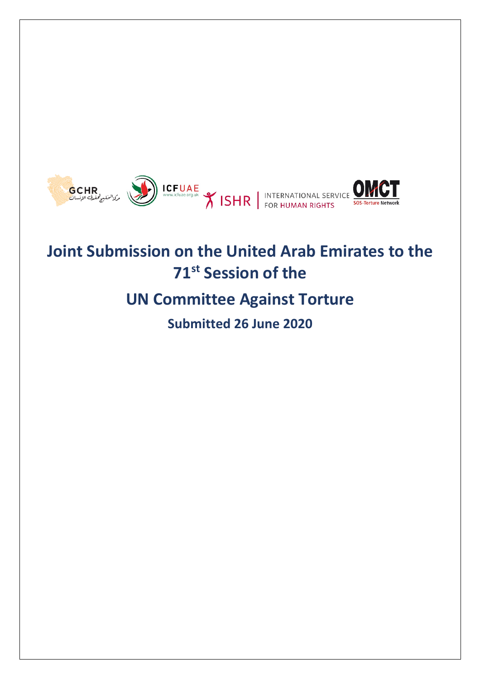

# **Joint Submission on the United Arab Emirates to the 71st Session of the**

## **UN Committee Against Torture**

**Submitted 26 June 2020**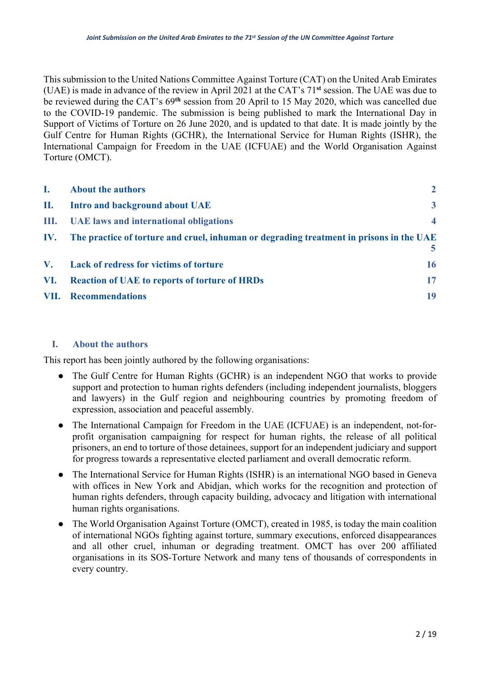This submission to the United Nations Committee Against Torture (CAT) on the United Arab Emirates (UAE) is made in advance of the review in April 2021 at the CAT's 71**st** session. The UAE was due to be reviewed during the CAT's 69**th** session from 20 April to 15 May 2020, which was cancelled due to the COVID-19 pandemic. The submission is being published to mark the International Day in Support of Victims of Torture on 26 June 2020, and is updated to that date. It is made jointly by the Gulf Centre for Human Rights (GCHR), the International Service for Human Rights (ISHR), the International Campaign for Freedom in the UAE (ICFUAE) and the World Organisation Against Torture (OMCT).

| L. | <b>About the authors</b>                                                                         | $\overline{2}$          |
|----|--------------------------------------------------------------------------------------------------|-------------------------|
| П. | Intro and background about UAE                                                                   | $\mathbf{3}$            |
|    | III. UAE laws and international obligations                                                      | $\overline{\mathbf{4}}$ |
|    | IV. The practice of torture and cruel, inhuman or degrading treatment in prisons in the UAE<br>5 |                         |
|    | V. Lack of redress for victims of torture                                                        | 16                      |
|    | VI. Reaction of UAE to reports of torture of HRDs                                                | 17                      |
|    | <b>VII.</b> Recommendations                                                                      | 19                      |

### **I. About the authors**

This report has been jointly authored by the following organisations:

- The Gulf Centre for Human Rights (GCHR) is an independent NGO that works to provide support and protection to human rights defenders (including independent journalists, bloggers and lawyers) in the Gulf region and neighbouring countries by promoting freedom of expression, association and peaceful assembly.
- The International Campaign for Freedom in the UAE (ICFUAE) is an independent, not-forprofit organisation campaigning for respect for human rights, the release of all political prisoners, an end to torture of those detainees, support for an independent judiciary and support for progress towards a representative elected parliament and overall democratic reform.
- The International Service for Human Rights (ISHR) is an international NGO based in Geneva with offices in New York and Abidjan, which works for the recognition and protection of human rights defenders, through capacity building, advocacy and litigation with international human rights organisations.
- The World Organisation Against Torture (OMCT), created in 1985, is today the main coalition of international NGOs fighting against torture, summary executions, enforced disappearances and all other cruel, inhuman or degrading treatment. OMCT has over 200 affiliated organisations in its SOS-Torture Network and many tens of thousands of correspondents in every country.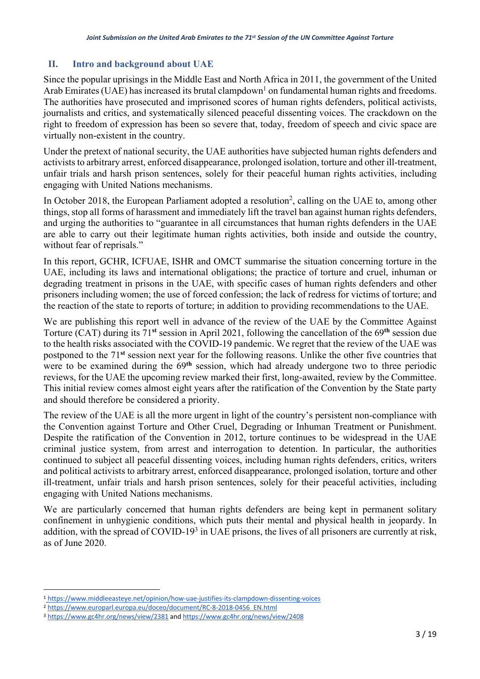## **II. Intro and background about UAE**

Since the popular uprisings in the Middle East and North Africa in 2011, the government of the United Arab Emirates (UAE) has increased its brutal clampdown<sup>1</sup> on fundamental human rights and freedoms. The authorities have prosecuted and imprisoned scores of human rights defenders, political activists, journalists and critics, and systematically silenced peaceful dissenting voices. The crackdown on the right to freedom of expression has been so severe that, today, freedom of speech and civic space are virtually non-existent in the country.

Under the pretext of national security, the UAE authorities have subjected human rights defenders and activists to arbitrary arrest, enforced disappearance, prolonged isolation, torture and other ill-treatment, unfair trials and harsh prison sentences, solely for their peaceful human rights activities, including engaging with United Nations mechanisms.

In October 2018, the European Parliament adopted a resolution<sup>2</sup>, calling on the UAE to, among other things, stop all forms of harassment and immediately lift the travel ban against human rights defenders, and urging the authorities to "guarantee in all circumstances that human rights defenders in the UAE are able to carry out their legitimate human rights activities, both inside and outside the country, without fear of reprisals."

In this report, GCHR, ICFUAE, ISHR and OMCT summarise the situation concerning torture in the UAE, including its laws and international obligations; the practice of torture and cruel, inhuman or degrading treatment in prisons in the UAE, with specific cases of human rights defenders and other prisoners including women; the use of forced confession; the lack of redress for victims of torture; and the reaction of the state to reports of torture; in addition to providing recommendations to the UAE.

We are publishing this report well in advance of the review of the UAE by the Committee Against Torture (CAT) during its 71**st** session in April 2021, following the cancellation of the 69**th** session due to the health risks associated with the COVID-19 pandemic. We regret that the review of the UAE was postponed to the 71**st** session next year for the following reasons. Unlike the other five countries that were to be examined during the 69**th** session, which had already undergone two to three periodic reviews, for the UAE the upcoming review marked their first, long-awaited, review by the Committee. This initial review comes almost eight years after the ratification of the Convention by the State party and should therefore be considered a priority.

The review of the UAE is all the more urgent in light of the country's persistent non-compliance with the Convention against Torture and Other Cruel, Degrading or Inhuman Treatment or Punishment. Despite the ratification of the Convention in 2012, torture continues to be widespread in the UAE criminal justice system, from arrest and interrogation to detention. In particular, the authorities continued to subject all peaceful dissenting voices, including human rights defenders, critics, writers and political activists to arbitrary arrest, enforced disappearance, prolonged isolation, torture and other ill-treatment, unfair trials and harsh prison sentences, solely for their peaceful activities, including engaging with United Nations mechanisms.

We are particularly concerned that human rights defenders are being kept in permanent solitary confinement in unhygienic conditions, which puts their mental and physical health in jeopardy. In addition, with the spread of COVID-19<sup>3</sup> in UAE prisons, the lives of all prisoners are currently at risk, as of June 2020.

<sup>1</sup> https://www.middleeasteye.net/opinion/how-uae-justifies-its-clampdown-dissenting-voices

<sup>2</sup> https://www.europarl.europa.eu/doceo/document/RC-8-2018-0456\_EN.html

<sup>3</sup> https://www.gc4hr.org/news/view/2381 and https://www.gc4hr.org/news/view/2408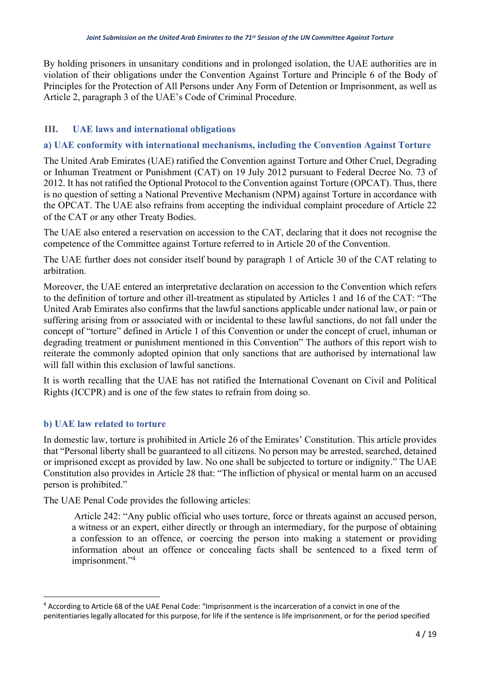By holding prisoners in unsanitary conditions and in prolonged isolation, the UAE authorities are in violation of their obligations under the Convention Against Torture and Principle 6 of the Body of Principles for the Protection of All Persons under Any Form of Detention or Imprisonment, as well as Article 2, paragraph 3 of the UAE's Code of Criminal Procedure.

## **III. UAE laws and international obligations**

### **a) UAE conformity with international mechanisms, including the Convention Against Torture**

The United Arab Emirates (UAE) ratified the Convention against Torture and Other Cruel, Degrading or Inhuman Treatment or Punishment (CAT) on 19 July 2012 pursuant to Federal Decree No. 73 of 2012. It has not ratified the Optional Protocol to the Convention against Torture (OPCAT). Thus, there is no question of setting a National Preventive Mechanism (NPM) against Torture in accordance with the OPCAT. The UAE also refrains from accepting the individual complaint procedure of Article 22 of the CAT or any other Treaty Bodies.

The UAE also entered a reservation on accession to the CAT, declaring that it does not recognise the competence of the Committee against Torture referred to in Article 20 of the Convention.

The UAE further does not consider itself bound by paragraph 1 of Article 30 of the CAT relating to arbitration.

Moreover, the UAE entered an interpretative declaration on accession to the Convention which refers to the definition of torture and other ill-treatment as stipulated by Articles 1 and 16 of the CAT: "The United Arab Emirates also confirms that the lawful sanctions applicable under national law, or pain or suffering arising from or associated with or incidental to these lawful sanctions, do not fall under the concept of "torture" defined in Article 1 of this Convention or under the concept of cruel, inhuman or degrading treatment or punishment mentioned in this Convention" The authors of this report wish to reiterate the commonly adopted opinion that only sanctions that are authorised by international law will fall within this exclusion of lawful sanctions.

It is worth recalling that the UAE has not ratified the International Covenant on Civil and Political Rights (ICCPR) and is one of the few states to refrain from doing so.

### **b) UAE law related to torture**

In domestic law, torture is prohibited in Article 26 of the Emirates' Constitution. This article provides that "Personal liberty shall be guaranteed to all citizens. No person may be arrested, searched, detained or imprisoned except as provided by law. No one shall be subjected to torture or indignity." The UAE Constitution also provides in Article 28 that: "The infliction of physical or mental harm on an accused person is prohibited."

The UAE Penal Code provides the following articles:

Article 242: "Any public official who uses torture, force or threats against an accused person, a witness or an expert, either directly or through an intermediary, for the purpose of obtaining a confession to an offence, or coercing the person into making a statement or providing information about an offence or concealing facts shall be sentenced to a fixed term of imprisonment."<sup>4</sup>

<sup>4</sup> According to Article 68 of the UAE Penal Code: "Imprisonment is the incarceration of a convict in one of the penitentiaries legally allocated for this purpose, for life if the sentence is life imprisonment, or for the period specified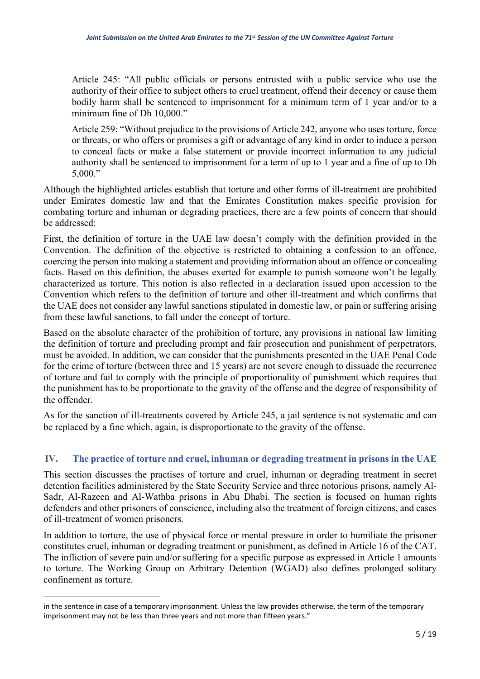Article 245: "All public officials or persons entrusted with a public service who use the authority of their office to subject others to cruel treatment, offend their decency or cause them bodily harm shall be sentenced to imprisonment for a minimum term of 1 year and/or to a minimum fine of Dh 10,000."

Article 259: "Without prejudice to the provisions of Article 242, anyone who uses torture, force or threats, or who offers or promises a gift or advantage of any kind in order to induce a person to conceal facts or make a false statement or provide incorrect information to any judicial authority shall be sentenced to imprisonment for a term of up to 1 year and a fine of up to Dh 5,000."

Although the highlighted articles establish that torture and other forms of ill-treatment are prohibited under Emirates domestic law and that the Emirates Constitution makes specific provision for combating torture and inhuman or degrading practices, there are a few points of concern that should be addressed:

First, the definition of torture in the UAE law doesn't comply with the definition provided in the Convention. The definition of the objective is restricted to obtaining a confession to an offence, coercing the person into making a statement and providing information about an offence or concealing facts. Based on this definition, the abuses exerted for example to punish someone won't be legally characterized as torture. This notion is also reflected in a declaration issued upon accession to the Convention which refers to the definition of torture and other ill-treatment and which confirms that the UAE does not consider any lawful sanctions stipulated in domestic law, or pain or suffering arising from these lawful sanctions, to fall under the concept of torture.

Based on the absolute character of the prohibition of torture, any provisions in national law limiting the definition of torture and precluding prompt and fair prosecution and punishment of perpetrators, must be avoided. In addition, we can consider that the punishments presented in the UAE Penal Code for the crime of torture (between three and 15 years) are not severe enough to dissuade the recurrence of torture and fail to comply with the principle of proportionality of punishment which requires that the punishment has to be proportionate to the gravity of the offense and the degree of responsibility of the offender.

As for the sanction of ill-treatments covered by Article 245, a jail sentence is not systematic and can be replaced by a fine which, again, is disproportionate to the gravity of the offense.

### **IV. The practice of torture and cruel, inhuman or degrading treatment in prisons in the UAE**

This section discusses the practises of torture and cruel, inhuman or degrading treatment in secret detention facilities administered by the State Security Service and three notorious prisons, namely Al-Sadr, Al-Razeen and Al-Wathba prisons in Abu Dhabi. The section is focused on human rights defenders and other prisoners of conscience, including also the treatment of foreign citizens, and cases of ill-treatment of women prisoners.

In addition to torture, the use of physical force or mental pressure in order to humiliate the prisoner constitutes cruel, inhuman or degrading treatment or punishment, as defined in Article 16 of the CAT. The infliction of severe pain and/or suffering for a specific purpose as expressed in Article 1 amounts to torture. The Working Group on Arbitrary Detention (WGAD) also defines prolonged solitary confinement as torture.

in the sentence in case of a temporary imprisonment. Unless the law provides otherwise, the term of the temporary imprisonment may not be less than three years and not more than fifteen years."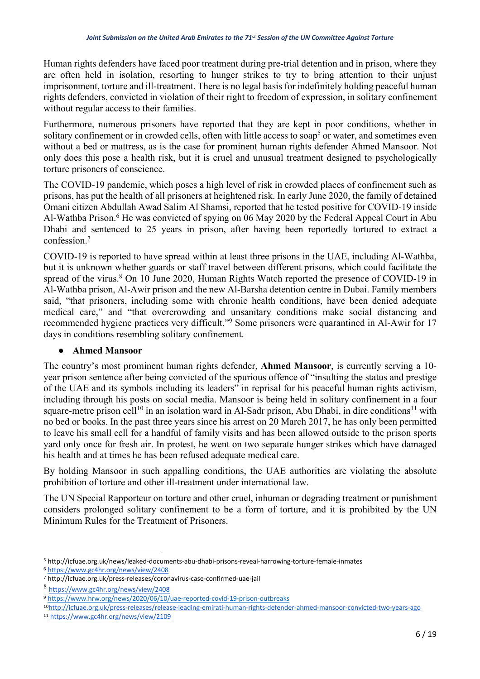Human rights defenders have faced poor treatment during pre-trial detention and in prison, where they are often held in isolation, resorting to hunger strikes to try to bring attention to their unjust imprisonment, torture and ill-treatment. There is no legal basis for indefinitely holding peaceful human rights defenders, convicted in violation of their right to freedom of expression, in solitary confinement without regular access to their families.

Furthermore, numerous prisoners have reported that they are kept in poor conditions, whether in solitary confinement or in crowded cells, often with little access to soap<sup>5</sup> or water, and sometimes even without a bed or mattress, as is the case for prominent human rights defender Ahmed Mansoor. Not only does this pose a health risk, but it is cruel and unusual treatment designed to psychologically torture prisoners of conscience.

The COVID-19 pandemic, which poses a high level of risk in crowded places of confinement such as prisons, has put the health of all prisoners at heightened risk. In early June 2020, the family of detained Omani citizen Abdullah Awad Salim Al Shamsi, reported that he tested positive for COVID-19 inside Al-Wathba Prison.<sup>6</sup> He was convicted of spying on 06 May 2020 by the Federal Appeal Court in Abu Dhabi and sentenced to 25 years in prison, after having been reportedly tortured to extract a confession.7

COVID-19 is reported to have spread within at least three prisons in the UAE, including Al-Wathba, but it is unknown whether guards or staff travel between different prisons, which could facilitate the spread of the virus. $8$  On 10 June 2020, Human Rights Watch reported the presence of COVID-19 in Al-Wathba prison, Al-Awir prison and the new Al-Barsha detention centre in Dubai. Family members said, "that prisoners, including some with chronic health conditions, have been denied adequate medical care," and "that overcrowding and unsanitary conditions make social distancing and recommended hygiene practices very difficult."9 Some prisoners were quarantined in Al-Awir for 17 days in conditions resembling solitary confinement.

#### ● **Ahmed Mansoor**

The country's most prominent human rights defender, **Ahmed Mansoor**, is currently serving a 10 year prison sentence after being convicted of the spurious offence of "insulting the status and prestige of the UAE and its symbols including its leaders" in reprisal for his peaceful human rights activism, including through his posts on social media. Mansoor is being held in solitary confinement in a four square-metre prison cell<sup>10</sup> in an isolation ward in Al-Sadr prison, Abu Dhabi, in dire conditions<sup>11</sup> with no bed or books. In the past three years since his arrest on 20 March 2017, he has only been permitted to leave his small cell for a handful of family visits and has been allowed outside to the prison sports yard only once for fresh air. In protest, he went on two separate hunger strikes which have damaged his health and at times he has been refused adequate medical care.

By holding Mansoor in such appalling conditions, the UAE authorities are violating the absolute prohibition of torture and other ill-treatment under international law.

The UN Special Rapporteur on torture and other cruel, inhuman or degrading treatment or punishment considers prolonged solitary confinement to be a form of torture, and it is prohibited by the UN Minimum Rules for the Treatment of Prisoners.

<sup>5</sup> http://icfuae.org.uk/news/leaked-documents-abu-dhabi-prisons-reveal-harrowing-torture-female-inmates

<sup>6</sup> https://www.gc4hr.org/news/view/2408

<sup>7</sup> http://icfuae.org.uk/press-releases/coronavirus-case-confirmed-uae-jail

<sup>8</sup> https://www.gc4hr.org/news/view/2408

<sup>9</sup> https://www.hrw.org/news/2020/06/10/uae-reported-covid-19-prison-outbreaks

<sup>10</sup>http://icfuae.org.uk/press-releases/release-leading-emirati-human-rights-defender-ahmed-mansoor-convicted-two-years-ago

<sup>11</sup> https://www.gc4hr.org/news/view/2109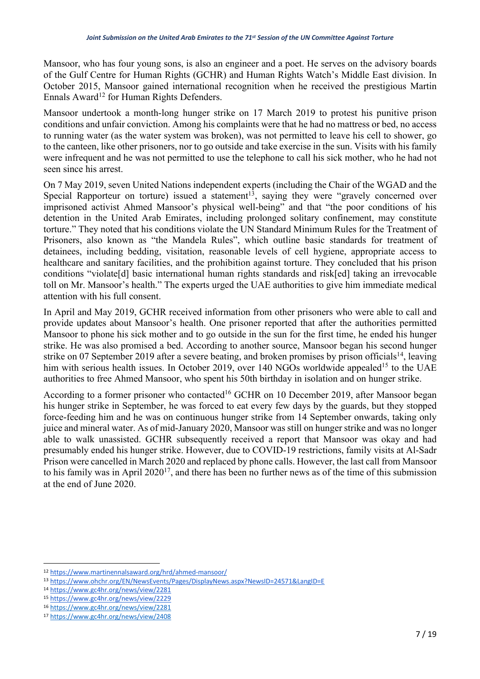Mansoor, who has four young sons, is also an engineer and a poet. He serves on the advisory boards of the Gulf Centre for Human Rights (GCHR) and Human Rights Watch's Middle East division. In October 2015, Mansoor gained international recognition when he received the prestigious Martin Ennals Award<sup>12</sup> for Human Rights Defenders.

Mansoor undertook a month-long hunger strike on 17 March 2019 to protest his punitive prison conditions and unfair conviction. Among his complaints were that he had no mattress or bed, no access to running water (as the water system was broken), was not permitted to leave his cell to shower, go to the canteen, like other prisoners, nor to go outside and take exercise in the sun. Visits with his family were infrequent and he was not permitted to use the telephone to call his sick mother, who he had not seen since his arrest.

On 7 May 2019, seven United Nations independent experts (including the Chair of the WGAD and the Special Rapporteur on torture) issued a statement<sup>13</sup>, saying they were "gravely concerned over imprisoned activist Ahmed Mansoor's physical well-being" and that "the poor conditions of his detention in the United Arab Emirates, including prolonged solitary confinement, may constitute torture." They noted that his conditions violate the UN Standard Minimum Rules for the Treatment of Prisoners, also known as "the Mandela Rules", which outline basic standards for treatment of detainees, including bedding, visitation, reasonable levels of cell hygiene, appropriate access to healthcare and sanitary facilities, and the prohibition against torture. They concluded that his prison conditions "violate[d] basic international human rights standards and risk[ed] taking an irrevocable toll on Mr. Mansoor's health." The experts urged the UAE authorities to give him immediate medical attention with his full consent.

In April and May 2019, GCHR received information from other prisoners who were able to call and provide updates about Mansoor's health. One prisoner reported that after the authorities permitted Mansoor to phone his sick mother and to go outside in the sun for the first time, he ended his hunger strike. He was also promised a bed. According to another source, Mansoor began his second hunger strike on 07 September 2019 after a severe beating, and broken promises by prison officials<sup>14</sup>, leaving him with serious health issues. In October 2019, over 140 NGOs worldwide appealed<sup>15</sup> to the UAE authorities to free Ahmed Mansoor, who spent his 50th birthday in isolation and on hunger strike.

According to a former prisoner who contacted<sup>16</sup> GCHR on 10 December 2019, after Mansoor began his hunger strike in September, he was forced to eat every few days by the guards, but they stopped force-feeding him and he was on continuous hunger strike from 14 September onwards, taking only juice and mineral water. As of mid-January 2020, Mansoor was still on hunger strike and was no longer able to walk unassisted. GCHR subsequently received a report that Mansoor was okay and had presumably ended his hunger strike. However, due to COVID-19 restrictions, family visits at Al-Sadr Prison were cancelled in March 2020 and replaced by phone calls. However, the last call from Mansoor to his family was in April 202017, and there has been no further news as of the time of this submission at the end of June 2020.

<sup>12</sup> https://www.martinennalsaward.org/hrd/ahmed-mansoor/

<sup>13</sup> https://www.ohchr.org/EN/NewsEvents/Pages/DisplayNews.aspx?NewsID=24571&LangID=E

<sup>14</sup> https://www.gc4hr.org/news/view/2281

<sup>15</sup> https://www.gc4hr.org/news/view/2229

<sup>16</sup> https://www.gc4hr.org/news/view/2281

<sup>17</sup> https://www.gc4hr.org/news/view/2408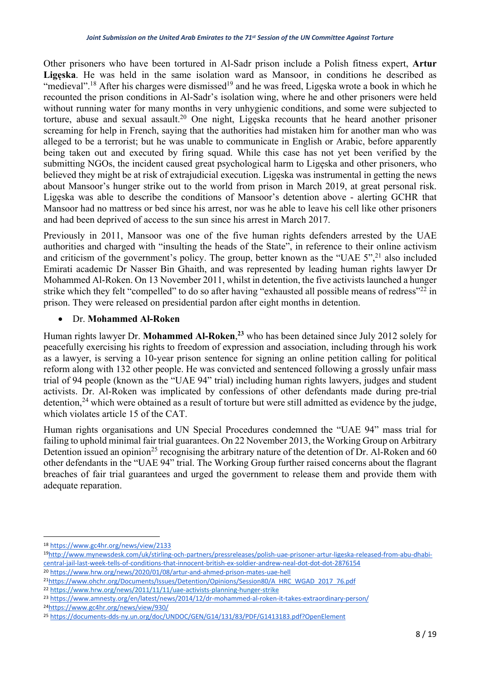Other prisoners who have been tortured in Al-Sadr prison include a Polish fitness expert, **Artur Ligęska**. He was held in the same isolation ward as Mansoor, in conditions he described as "medieval".<sup>18</sup> After his charges were dismissed<sup>19</sup> and he was freed, Ligęska wrote a book in which he recounted the prison conditions in Al-Sadr's isolation wing, where he and other prisoners were held without running water for many months in very unhygienic conditions, and some were subjected to torture, abuse and sexual assault.<sup>20</sup> One night, Ligeska recounts that he heard another prisoner screaming for help in French, saying that the authorities had mistaken him for another man who was alleged to be a terrorist; but he was unable to communicate in English or Arabic, before apparently being taken out and executed by firing squad. While this case has not yet been verified by the submitting NGOs, the incident caused great psychological harm to Ligęska and other prisoners, who believed they might be at risk of extrajudicial execution. Ligęska was instrumental in getting the news about Mansoor's hunger strike out to the world from prison in March 2019, at great personal risk. Ligęska was able to describe the conditions of Mansoor's detention above - alerting GCHR that Mansoor had no mattress or bed since his arrest, nor was he able to leave his cell like other prisoners and had been deprived of access to the sun since his arrest in March 2017.

Previously in 2011, Mansoor was one of the five human rights defenders arrested by the UAE authorities and charged with "insulting the heads of the State", in reference to their online activism and criticism of the government's policy. The group, better known as the "UAE 5",<sup>21</sup> also included Emirati academic Dr Nasser Bin Ghaith, and was represented by leading human rights lawyer Dr Mohammed Al-Roken. On 13 November 2011, whilst in detention, the five activists launched a hunger strike which they felt "compelled" to do so after having "exhausted all possible means of redress"<sup>22</sup> in prison. They were released on presidential pardon after eight months in detention.

## • Dr. **Mohammed Al-Roken**

Human rights lawyer Dr. **Mohammed Al-Roken**, **<sup>23</sup>** who has been detained since July 2012 solely for peacefully exercising his rights to freedom of expression and association, including through his work as a lawyer, is serving a 10-year prison sentence for signing an online petition calling for political reform along with 132 other people. He was convicted and sentenced following a grossly unfair mass trial of 94 people (known as the "UAE 94" trial) including human rights lawyers, judges and student activists. Dr. Al-Roken was implicated by confessions of other defendants made during pre-trial detention,<sup>24</sup> which were obtained as a result of torture but were still admitted as evidence by the judge, which violates article 15 of the CAT.

Human rights organisations and UN Special Procedures condemned the "UAE 94" mass trial for failing to uphold minimal fair trial guarantees. On 22 November 2013, the Working Group on Arbitrary Detention issued an opinion<sup>25</sup> recognising the arbitrary nature of the detention of Dr. Al-Roken and 60 other defendants in the "UAE 94" trial. The Working Group further raised concerns about the flagrant breaches of fair trial guarantees and urged the government to release them and provide them with adequate reparation.

<sup>20</sup> https://www.hrw.org/news/2020/01/08/artur-and-ahmed-prison-mates-uae-hell

<sup>18</sup> https://www.gc4hr.org/news/view/2133

<sup>19</sup>http://www.mynewsdesk.com/uk/stirling-och-partners/pressreleases/polish-uae-prisoner-artur-ligeska-released-from-abu-dhabicentral-jail-last-week-tells-of-conditions-that-innocent-british-ex-soldier-andrew-neal-dot-dot-dot-2876154

<sup>21</sup>https://www.ohchr.org/Documents/Issues/Detention/Opinions/Session80/A\_HRC\_WGAD\_2017\_76.pdf

<sup>22</sup> https://www.hrw.org/news/2011/11/11/uae-activists-planning-hunger-strike

<sup>23</sup> https://www.amnesty.org/en/latest/news/2014/12/dr-mohammed-al-roken-it-takes-extraordinary-person/

<sup>24</sup>https://www.gc4hr.org/news/view/930/

<sup>25</sup> https://documents-dds-ny.un.org/doc/UNDOC/GEN/G14/131/83/PDF/G1413183.pdf?OpenElement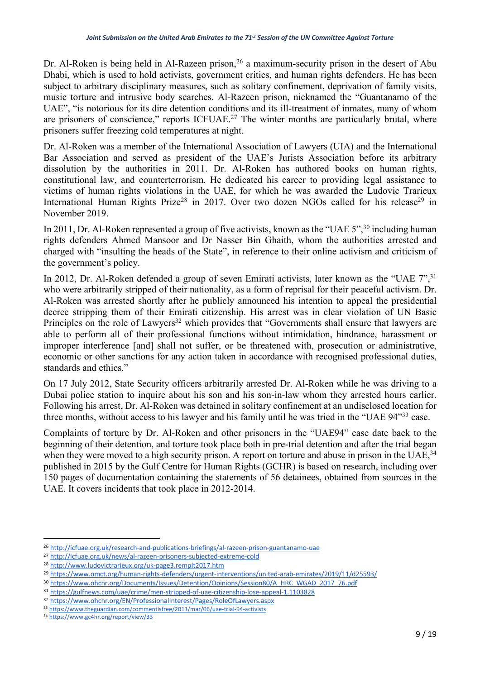Dr. Al-Roken is being held in Al-Razeen prison,<sup>26</sup> a maximum-security prison in the desert of Abu Dhabi, which is used to hold activists, government critics, and human rights defenders. He has been subject to arbitrary disciplinary measures, such as solitary confinement, deprivation of family visits, music torture and intrusive body searches. Al-Razeen prison, nicknamed the "Guantanamo of the UAE", "is notorious for its dire detention conditions and its ill-treatment of inmates, many of whom are prisoners of conscience," reports ICFUAE.<sup>27</sup> The winter months are particularly brutal, where prisoners suffer freezing cold temperatures at night.

Dr. Al-Roken was a member of the International Association of Lawyers (UIA) and the International Bar Association and served as president of the UAE's Jurists Association before its arbitrary dissolution by the authorities in 2011. Dr. Al-Roken has authored books on human rights, constitutional law, and counterterrorism. He dedicated his career to providing legal assistance to victims of human rights violations in the UAE, for which he was awarded the Ludovic Trarieux International Human Rights Prize<sup>28</sup> in 2017. Over two dozen NGOs called for his release<sup>29</sup> in November 2019.

In 2011, Dr. Al-Roken represented a group of five activists, known as the "UAE 5",<sup>30</sup> including human rights defenders Ahmed Mansoor and Dr Nasser Bin Ghaith, whom the authorities arrested and charged with "insulting the heads of the State", in reference to their online activism and criticism of the government's policy.

In 2012, Dr. Al-Roken defended a group of seven Emirati activists, later known as the "UAE 7",<sup>31</sup> who were arbitrarily stripped of their nationality, as a form of reprisal for their peaceful activism. Dr. Al-Roken was arrested shortly after he publicly announced his intention to appeal the presidential decree stripping them of their Emirati citizenship. His arrest was in clear violation of UN Basic Principles on the role of Lawyers<sup>32</sup> which provides that "Governments shall ensure that lawyers are able to perform all of their professional functions without intimidation, hindrance, harassment or improper interference [and] shall not suffer, or be threatened with, prosecution or administrative, economic or other sanctions for any action taken in accordance with recognised professional duties, standards and ethics."

On 17 July 2012, State Security officers arbitrarily arrested Dr. Al-Roken while he was driving to a Dubai police station to inquire about his son and his son-in-law whom they arrested hours earlier. Following his arrest, Dr. Al-Roken was detained in solitary confinement at an undisclosed location for three months, without access to his lawyer and his family until he was tried in the "UAE 94"33 case.

Complaints of torture by Dr. Al-Roken and other prisoners in the "UAE94" case date back to the beginning of their detention, and torture took place both in pre-trial detention and after the trial began when they were moved to a high security prison. A report on torture and abuse in prison in the UAE,<sup>34</sup> published in 2015 by the Gulf Centre for Human Rights (GCHR) is based on research, including over 150 pages of documentation containing the statements of 56 detainees, obtained from sources in the UAE. It covers incidents that took place in 2012-2014.

<sup>26</sup> http://icfuae.org.uk/research-and-publications-briefings/al-razeen-prison-guantanamo-uae

<sup>27</sup> http://icfuae.org.uk/news/al-razeen-prisoners-subjected-extreme-cold

<sup>28</sup> http://www.ludovictrarieux.org/uk-page3.remplt2017.htm

<sup>29</sup> https://www.omct.org/human-rights-defenders/urgent-interventions/united-arab-emirates/2019/11/d25593/

<sup>30</sup> https://www.ohchr.org/Documents/Issues/Detention/Opinions/Session80/A\_HRC\_WGAD\_2017\_76.pdf

<sup>31</sup> https://gulfnews.com/uae/crime/men-stripped-of-uae-citizenship-lose-appeal-1.1103828

<sup>32</sup> https://www.ohchr.org/EN/ProfessionalInterest/Pages/RoleOfLawyers.aspx

<sup>33</sup> https://www.theguardian.com/commentisfree/2013/mar/06/uae-trial-94-activists

<sup>34</sup> https://www.gc4hr.org/report/view/33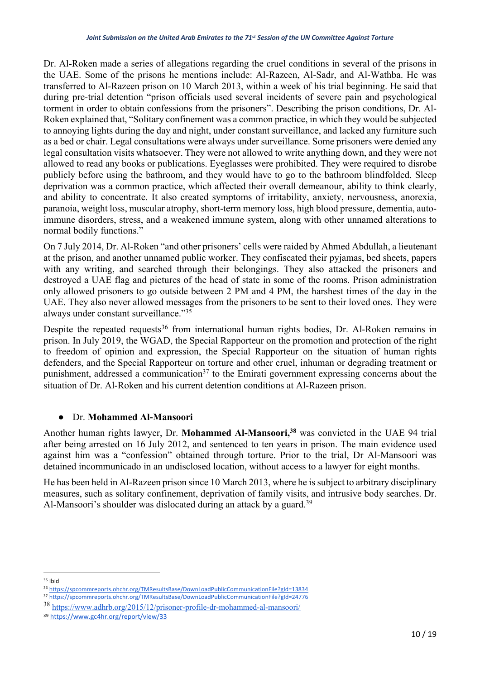Dr. Al-Roken made a series of allegations regarding the cruel conditions in several of the prisons in the UAE. Some of the prisons he mentions include: Al-Razeen, Al-Sadr, and Al-Wathba. He was transferred to Al-Razeen prison on 10 March 2013, within a week of his trial beginning. He said that during pre-trial detention "prison officials used several incidents of severe pain and psychological torment in order to obtain confessions from the prisoners". Describing the prison conditions, Dr. Al-Roken explained that, "Solitary confinement was a common practice, in which they would be subjected to annoying lights during the day and night, under constant surveillance, and lacked any furniture such as a bed or chair. Legal consultations were always under surveillance. Some prisoners were denied any legal consultation visits whatsoever. They were not allowed to write anything down, and they were not allowed to read any books or publications. Eyeglasses were prohibited. They were required to disrobe publicly before using the bathroom, and they would have to go to the bathroom blindfolded. Sleep deprivation was a common practice, which affected their overall demeanour, ability to think clearly, and ability to concentrate. It also created symptoms of irritability, anxiety, nervousness, anorexia, paranoia, weight loss, muscular atrophy, short-term memory loss, high blood pressure, dementia, autoimmune disorders, stress, and a weakened immune system, along with other unnamed alterations to normal bodily functions."

On 7 July 2014, Dr. Al-Roken "and other prisoners' cells were raided by Ahmed Abdullah, a lieutenant at the prison, and another unnamed public worker. They confiscated their pyjamas, bed sheets, papers with any writing, and searched through their belongings. They also attacked the prisoners and destroyed a UAE flag and pictures of the head of state in some of the rooms. Prison administration only allowed prisoners to go outside between 2 PM and 4 PM, the harshest times of the day in the UAE. They also never allowed messages from the prisoners to be sent to their loved ones. They were always under constant surveillance."35

Despite the repeated requests<sup>36</sup> from international human rights bodies, Dr. Al-Roken remains in prison. In July 2019, the WGAD, the Special Rapporteur on the promotion and protection of the right to freedom of opinion and expression, the Special Rapporteur on the situation of human rights defenders, and the Special Rapporteur on torture and other cruel, inhuman or degrading treatment or punishment, addressed a communication<sup>37</sup> to the Emirati government expressing concerns about the situation of Dr. Al-Roken and his current detention conditions at Al-Razeen prison.

### ● Dr. **Mohammed Al-Mansoori**

Another human rights lawyer, Dr. **Mohammed Al-Mansoori, <sup>38</sup>** was convicted in the UAE 94 trial after being arrested on 16 July 2012, and sentenced to ten years in prison. The main evidence used against him was a "confession" obtained through torture. Prior to the trial, Dr Al-Mansoori was detained incommunicado in an undisclosed location, without access to a lawyer for eight months.

He has been held in Al-Razeen prison since 10 March 2013, where he is subject to arbitrary disciplinary measures, such as solitary confinement, deprivation of family visits, and intrusive body searches. Dr. Al-Mansoori's shoulder was dislocated during an attack by a guard.<sup>39</sup>

 $35$  Ibid

<sup>36</sup> https://spcommreports.ohchr.org/TMResultsBase/DownLoadPublicCommunicationFile?gId=13834

<sup>37</sup> https://spcommreports.ohchr.org/TMResultsBase/DownLoadPublicCommunicationFile?gId=24776

<sup>38</sup> https://www.adhrb.org/2015/12/prisoner-profile-dr-mohammed-al-mansoori/

<sup>39</sup> https://www.gc4hr.org/report/view/33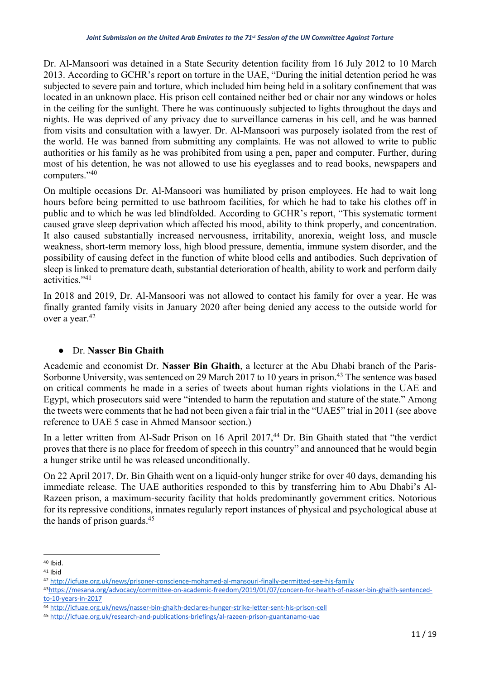Dr. Al-Mansoori was detained in a State Security detention facility from 16 July 2012 to 10 March 2013. According to GCHR's report on torture in the UAE, "During the initial detention period he was subjected to severe pain and torture, which included him being held in a solitary confinement that was located in an unknown place. His prison cell contained neither bed or chair nor any windows or holes in the ceiling for the sunlight. There he was continuously subjected to lights throughout the days and nights. He was deprived of any privacy due to surveillance cameras in his cell, and he was banned from visits and consultation with a lawyer. Dr. Al-Mansoori was purposely isolated from the rest of the world. He was banned from submitting any complaints. He was not allowed to write to public authorities or his family as he was prohibited from using a pen, paper and computer. Further, during most of his detention, he was not allowed to use his eyeglasses and to read books, newspapers and computers."40

On multiple occasions Dr. Al-Mansoori was humiliated by prison employees. He had to wait long hours before being permitted to use bathroom facilities, for which he had to take his clothes off in public and to which he was led blindfolded. According to GCHR's report, "This systematic torment caused grave sleep deprivation which affected his mood, ability to think properly, and concentration. It also caused substantially increased nervousness, irritability, anorexia, weight loss, and muscle weakness, short-term memory loss, high blood pressure, dementia, immune system disorder, and the possibility of causing defect in the function of white blood cells and antibodies. Such deprivation of sleep is linked to premature death, substantial deterioration of health, ability to work and perform daily activities."41

In 2018 and 2019, Dr. Al-Mansoori was not allowed to contact his family for over a year. He was finally granted family visits in January 2020 after being denied any access to the outside world for over a year.<sup>42</sup>

### ● Dr. **Nasser Bin Ghaith**

Academic and economist Dr. **Nasser Bin Ghaith**, a lecturer at the Abu Dhabi branch of the Paris-Sorbonne University, was sentenced on 29 March 2017 to 10 years in prison.<sup>43</sup> The sentence was based on critical comments he made in a series of tweets about human rights violations in the UAE and Egypt, which prosecutors said were "intended to harm the reputation and stature of the state." Among the tweets were comments that he had not been given a fair trial in the "UAE5" trial in 2011 (see above reference to UAE 5 case in Ahmed Mansoor section.)

In a letter written from Al-Sadr Prison on 16 April 2017,<sup>44</sup> Dr. Bin Ghaith stated that "the verdict proves that there is no place for freedom of speech in this country" and announced that he would begin a hunger strike until he was released unconditionally.

On 22 April 2017, Dr. Bin Ghaith went on a liquid-only hunger strike for over 40 days, demanding his immediate release. The UAE authorities responded to this by transferring him to Abu Dhabi's Al-Razeen prison, a maximum-security facility that holds predominantly government critics. Notorious for its repressive conditions, inmates regularly report instances of physical and psychological abuse at the hands of prison guards.45

<sup>40</sup> Ibid.

<sup>41</sup> Ibid

<sup>42</sup> http://icfuae.org.uk/news/prisoner-conscience-mohamed-al-mansouri-finally-permitted-see-his-family

<sup>43</sup>https://mesana.org/advocacy/committee-on-academic-freedom/2019/01/07/concern-for-health-of-nasser-bin-ghaith-sentencedto-10-years-in-2017

<sup>44</sup> http://icfuae.org.uk/news/nasser-bin-ghaith-declares-hunger-strike-letter-sent-his-prison-cell

<sup>45</sup> http://icfuae.org.uk/research-and-publications-briefings/al-razeen-prison-guantanamo-uae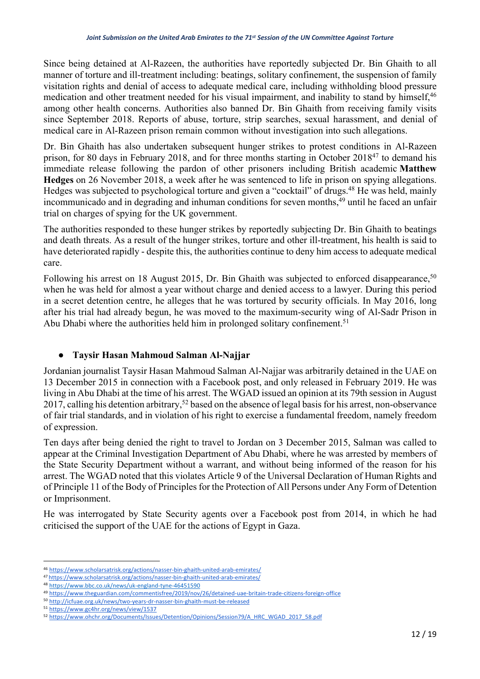Since being detained at Al-Razeen, the authorities have reportedly subjected Dr. Bin Ghaith to all manner of torture and ill-treatment including: beatings, solitary confinement, the suspension of family visitation rights and denial of access to adequate medical care, including withholding blood pressure medication and other treatment needed for his visual impairment, and inability to stand by himself,<sup>46</sup> among other health concerns. Authorities also banned Dr. Bin Ghaith from receiving family visits since September 2018. Reports of abuse, torture, strip searches, sexual harassment, and denial of medical care in Al-Razeen prison remain common without investigation into such allegations.

Dr. Bin Ghaith has also undertaken subsequent hunger strikes to protest conditions in Al-Razeen prison, for 80 days in February 2018, and for three months starting in October 201847 to demand his immediate release following the pardon of other prisoners including British academic **Matthew Hedges** on 26 November 2018, a week after he was sentenced to life in prison on spying allegations. Hedges was subjected to psychological torture and given a "cocktail" of drugs.<sup>48</sup> He was held, mainly incommunicado and in degrading and inhuman conditions for seven months,<sup>49</sup> until he faced an unfair trial on charges of spying for the UK government.

The authorities responded to these hunger strikes by reportedly subjecting Dr. Bin Ghaith to beatings and death threats. As a result of the hunger strikes, torture and other ill-treatment, his health is said to have deteriorated rapidly - despite this, the authorities continue to deny him access to adequate medical care.

Following his arrest on 18 August 2015, Dr. Bin Ghaith was subjected to enforced disappearance,<sup>50</sup> when he was held for almost a year without charge and denied access to a lawyer. During this period in a secret detention centre, he alleges that he was tortured by security officials. In May 2016, long after his trial had already begun, he was moved to the maximum-security wing of Al-Sadr Prison in Abu Dhabi where the authorities held him in prolonged solitary confinement.<sup>51</sup>

## ● **Taysir Hasan Mahmoud Salman Al-Najjar**

Jordanian journalist Taysir Hasan Mahmoud Salman Al-Najjar was arbitrarily detained in the UAE on 13 December 2015 in connection with a Facebook post, and only released in February 2019. He was living in Abu Dhabi at the time of his arrest. The WGAD issued an opinion at its 79th session in August 2017, calling his detention arbitrary,<sup>52</sup> based on the absence of legal basis for his arrest, non-observance of fair trial standards, and in violation of his right to exercise a fundamental freedom, namely freedom of expression.

Ten days after being denied the right to travel to Jordan on 3 December 2015, Salman was called to appear at the Criminal Investigation Department of Abu Dhabi, where he was arrested by members of the State Security Department without a warrant, and without being informed of the reason for his arrest. The WGAD noted that this violates Article 9 of the Universal Declaration of Human Rights and of Principle 11 of the Body of Principles for the Protection of All Persons under Any Form of Detention or Imprisonment.

He was interrogated by State Security agents over a Facebook post from 2014, in which he had criticised the support of the UAE for the actions of Egypt in Gaza.

<sup>46</sup> https://www.scholarsatrisk.org/actions/nasser-bin-ghaith-united-arab-emirates/

<sup>47</sup> https://www.scholarsatrisk.org/actions/nasser-bin-ghaith-united-arab-emirates/

<sup>48</sup> https://www.bbc.co.uk/news/uk-england-tyne-46451590

<sup>49</sup> https://www.theguardian.com/commentisfree/2019/nov/26/detained-uae-britain-trade-citizens-foreign-office

<sup>50</sup> http://icfuae.org.uk/news/two-years-dr-nasser-bin-ghaith-must-be-released

<sup>51</sup> https://www.gc4hr.org/news/view/1537

<sup>52</sup> https://www.ohchr.org/Documents/Issues/Detention/Opinions/Session79/A\_HRC\_WGAD\_2017\_58.pdf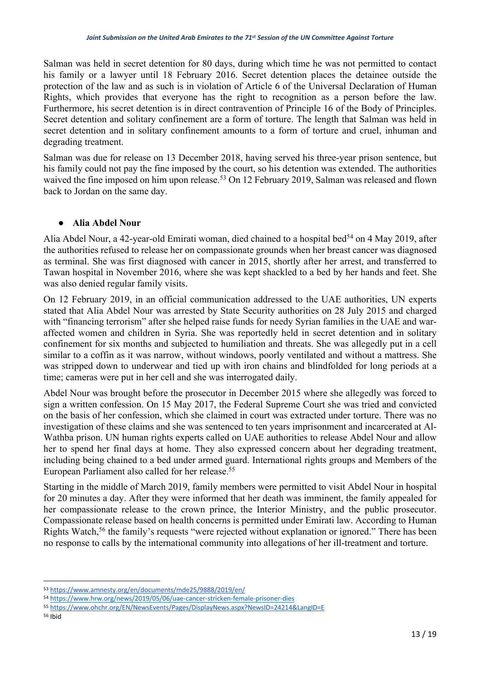Salman was held in secret detention for 80 days, during which time he was not permitted to contact his family or a lawyer until 18 February 2016. Secret detention places the detainee outside the protection of the law and as such is in violation of Article 6 of the Universal Declaration of Human Rights, which provides that everyone has the right to recognition as a person before the law. Furthermore, his secret detention is in direct contravention of Principle 16 of the Body of Principles. Secret detention and solitary confinement are a form of torture. The length that Salman was held in secret detention and in solitary confinement amounts to a form of torture and cruel, inhuman and degrading treatment.

Salman was due for release on 13 December 2018, having served his three-year prison sentence, but his family could not pay the fine imposed by the court, so his detention was extended. The authorities waived the fine imposed on him upon release.<sup>53</sup> On 12 February 2019, Salman was released and flown back to Jordan on the same day.

### ● **Alia Abdel Nour**

Alia Abdel Nour, a 42-year-old Emirati woman, died chained to a hospital bed<sup>54</sup> on 4 May 2019, after the authorities refused to release her on compassionate grounds when her breast cancer was diagnosed as terminal. She was first diagnosed with cancer in 2015, shortly after her arrest, and transferred to Tawan hospital in November 2016, where she was kept shackled to a bed by her hands and feet. She was also denied regular family visits.

On 12 February 2019, in an official communication addressed to the UAE authorities, UN experts stated that Alia Abdel Nour was arrested by State Security authorities on 28 July 2015 and charged with "financing terrorism" after she helped raise funds for needy Syrian families in the UAE and waraffected women and children in Syria. She was reportedly held in secret detention and in solitary confinement for six months and subjected to humiliation and threats. She was allegedly put in a cell similar to a coffin as it was narrow, without windows, poorly ventilated and without a mattress. She was stripped down to underwear and tied up with iron chains and blindfolded for long periods at a time; cameras were put in her cell and she was interrogated daily.

Abdel Nour was brought before the prosecutor in December 2015 where she allegedly was forced to sign a written confession. On 15 May 2017, the Federal Supreme Court she was tried and convicted on the basis of her confession, which she claimed in court was extracted under torture. There was no investigation of these claims and she was sentenced to ten years imprisonment and incarcerated at Al-Wathba prison. UN human rights experts called on UAE authorities to release Abdel Nour and allow her to spend her final days at home. They also expressed concern about her degrading treatment, including being chained to a bed under armed guard. International rights groups and Members of the European Parliament also called for her release.55

Starting in the middle of March 2019, family members were permitted to visit Abdel Nour in hospital for 20 minutes a day. After they were informed that her death was imminent, the family appealed for her compassionate release to the crown prince, the Interior Ministry, and the public prosecutor. Compassionate release based on health concerns is permitted under Emirati law. According to Human Rights Watch,<sup>56</sup> the family's requests "were rejected without explanation or ignored." There has been no response to calls by the international community into allegations of her ill-treatment and torture.

<sup>53</sup> https://www.amnesty.org/en/documents/mde25/9888/2019/en/

<sup>54</sup> https://www.hrw.org/news/2019/05/06/uae-cancer-stricken-female-prisoner-dies

<sup>55</sup> https://www.ohchr.org/EN/NewsEvents/Pages/DisplayNews.aspx?NewsID=24214&LangID=E

<sup>56</sup> Ibid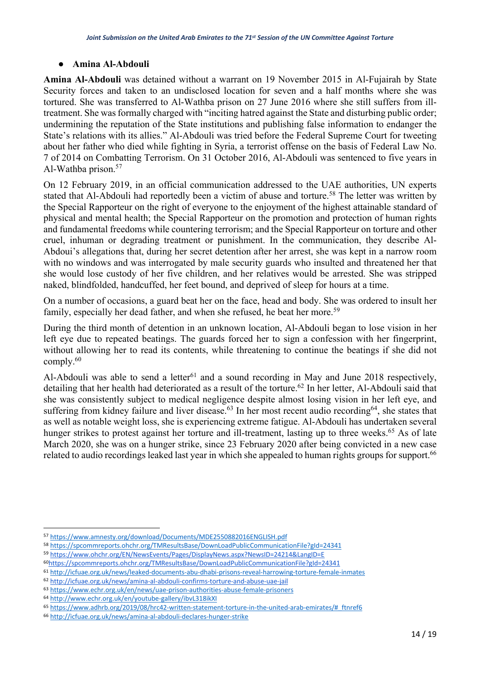#### ● **Amina Al-Abdouli**

**Amina Al-Abdouli** was detained without a warrant on 19 November 2015 in Al-Fujairah by State Security forces and taken to an undisclosed location for seven and a half months where she was tortured. She was transferred to Al-Wathba prison on 27 June 2016 where she still suffers from illtreatment. She was formally charged with "inciting hatred against the State and disturbing public order; undermining the reputation of the State institutions and publishing false information to endanger the State's relations with its allies." Al-Abdouli was tried before the Federal Supreme Court for tweeting about her father who died while fighting in Syria, a terrorist offense on the basis of Federal Law No. 7 of 2014 on Combatting Terrorism. On 31 October 2016, Al-Abdouli was sentenced to five years in Al-Wathba prison.57

On 12 February 2019, in an official communication addressed to the UAE authorities, UN experts stated that Al-Abdouli had reportedly been a victim of abuse and torture.<sup>58</sup> The letter was written by the Special Rapporteur on the right of everyone to the enjoyment of the highest attainable standard of physical and mental health; the Special Rapporteur on the promotion and protection of human rights and fundamental freedoms while countering terrorism; and the Special Rapporteur on torture and other cruel, inhuman or degrading treatment or punishment. In the communication, they describe Al-Abdoui's allegations that, during her secret detention after her arrest, she was kept in a narrow room with no windows and was interrogated by male security guards who insulted and threatened her that she would lose custody of her five children, and her relatives would be arrested. She was stripped naked, blindfolded, handcuffed, her feet bound, and deprived of sleep for hours at a time.

On a number of occasions, a guard beat her on the face, head and body. She was ordered to insult her family, especially her dead father, and when she refused, he beat her more.<sup>59</sup>

During the third month of detention in an unknown location, Al-Abdouli began to lose vision in her left eye due to repeated beatings. The guards forced her to sign a confession with her fingerprint, without allowing her to read its contents, while threatening to continue the beatings if she did not comply.60

Al-Abdouli was able to send a letter<sup>61</sup> and a sound recording in May and June 2018 respectively, detailing that her health had deteriorated as a result of the torture.<sup>62</sup> In her letter, Al-Abdouli said that she was consistently subject to medical negligence despite almost losing vision in her left eye, and suffering from kidney failure and liver disease.<sup>63</sup> In her most recent audio recording<sup>64</sup>, she states that as well as notable weight loss, she is experiencing extreme fatigue. Al-Abdouli has undertaken several hunger strikes to protest against her torture and ill-treatment, lasting up to three weeks.<sup>65</sup> As of late March 2020, she was on a hunger strike, since 23 February 2020 after being convicted in a new case related to audio recordings leaked last year in which she appealed to human rights groups for support.<sup>66</sup>

<sup>57</sup> https://www.amnesty.org/download/Documents/MDE2550882016ENGLISH.pdf

<sup>58</sup> https://spcommreports.ohchr.org/TMResultsBase/DownLoadPublicCommunicationFile?gId=24341

<sup>59</sup> https://www.ohchr.org/EN/NewsEvents/Pages/DisplayNews.aspx?NewsID=24214&LangID=E

<sup>60</sup>https://spcommreports.ohchr.org/TMResultsBase/DownLoadPublicCommunicationFile?gId=24341

<sup>61</sup> http://icfuae.org.uk/news/leaked-documents-abu-dhabi-prisons-reveal-harrowing-torture-female-inmates

<sup>62</sup> http://icfuae.org.uk/news/amina-al-abdouli-confirms-torture-and-abuse-uae-jail

<sup>63</sup> https://www.echr.org.uk/en/news/uae-prison-authorities-abuse-female-prisoners

<sup>64</sup> http://www.echr.org.uk/en/youtube-gallery/ibvL318ikXI

<sup>65</sup> https://www.adhrb.org/2019/08/hrc42-written-statement-torture-in-the-united-arab-emirates/#\_ftnref6

<sup>66</sup> http://icfuae.org.uk/news/amina-al-abdouli-declares-hunger-strike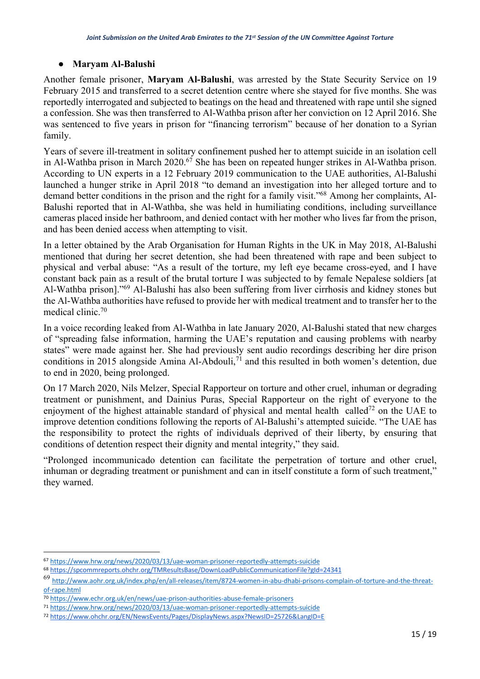#### ● **Maryam Al-Balushi**

Another female prisoner, **Maryam Al-Balushi**, was arrested by the State Security Service on 19 February 2015 and transferred to a secret detention centre where she stayed for five months. She was reportedly interrogated and subjected to beatings on the head and threatened with rape until she signed a confession. She was then transferred to Al-Wathba prison after her conviction on 12 April 2016. She was sentenced to five years in prison for "financing terrorism" because of her donation to a Syrian family.

Years of severe ill-treatment in solitary confinement pushed her to attempt suicide in an isolation cell in Al-Wathba prison in March 2020.<sup>67</sup> She has been on repeated hunger strikes in Al-Wathba prison. According to UN experts in a 12 February 2019 communication to the UAE authorities, Al-Balushi launched a hunger strike in April 2018 "to demand an investigation into her alleged torture and to demand better conditions in the prison and the right for a family visit."68 Among her complaints, Al-Balushi reported that in Al-Wathba, she was held in humiliating conditions, including surveillance cameras placed inside her bathroom, and denied contact with her mother who lives far from the prison, and has been denied access when attempting to visit.

In a letter obtained by the Arab Organisation for Human Rights in the UK in May 2018, Al-Balushi mentioned that during her secret detention, she had been threatened with rape and been subject to physical and verbal abuse: "As a result of the torture, my left eye became cross-eyed, and I have constant back pain as a result of the brutal torture I was subjected to by female Nepalese soldiers [at Al-Wathba prison]."69 Al-Balushi has also been suffering from liver cirrhosis and kidney stones but the Al-Wathba authorities have refused to provide her with medical treatment and to transfer her to the medical clinic.70

In a voice recording leaked from Al-Wathba in late January 2020, Al-Balushi stated that new charges of "spreading false information, harming the UAE's reputation and causing problems with nearby states" were made against her. She had previously sent audio recordings describing her dire prison conditions in 2015 alongside Amina Al-Abdouli,<sup>71</sup> and this resulted in both women's detention, due to end in 2020, being prolonged.

On 17 March 2020, Nils Melzer, Special Rapporteur on torture and other cruel, inhuman or degrading treatment or punishment, and Dainius Puras, Special Rapporteur on the right of everyone to the enjoyment of the highest attainable standard of physical and mental health called<sup>72</sup> on the UAE to improve detention conditions following the reports of Al-Balushi's attempted suicide. "The UAE has the responsibility to protect the rights of individuals deprived of their liberty, by ensuring that conditions of detention respect their dignity and mental integrity," they said.

"Prolonged incommunicado detention can facilitate the perpetration of torture and other cruel, inhuman or degrading treatment or punishment and can in itself constitute a form of such treatment," they warned.

<sup>67</sup> https://www.hrw.org/news/2020/03/13/uae-woman-prisoner-reportedly-attempts-suicide 68 https://spcommreports.ohchr.org/TMResultsBase/DownLoadPublicCommunicationFile?gId=24341

<sup>69</sup> http://www.aohr.org.uk/index.php/en/all-releases/item/8724-women-in-abu-dhabi-prisons-complain-of-torture-and-the-threatof-rape.html

<sup>70</sup> https://www.echr.org.uk/en/news/uae-prison-authorities-abuse-female-prisoners

<sup>71</sup> https://www.hrw.org/news/2020/03/13/uae-woman-prisoner-reportedly-attempts-suicide

<sup>72</sup> https://www.ohchr.org/EN/NewsEvents/Pages/DisplayNews.aspx?NewsID=25726&LangID=E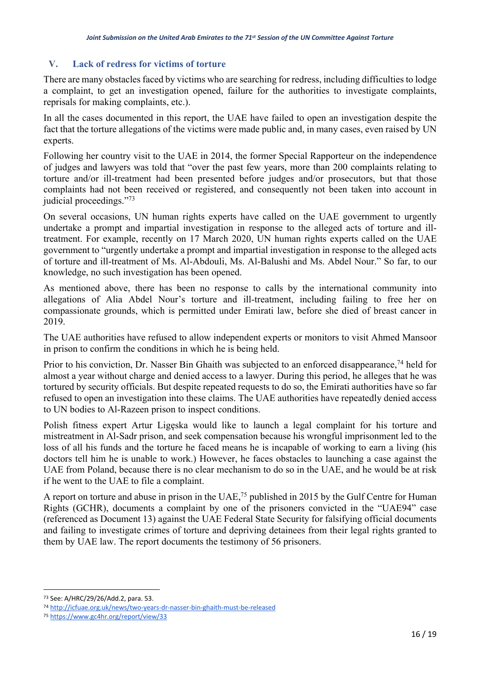## **V. Lack of redress for victims of torture**

There are many obstacles faced by victims who are searching for redress, including difficulties to lodge a complaint, to get an investigation opened, failure for the authorities to investigate complaints, reprisals for making complaints, etc.).

In all the cases documented in this report, the UAE have failed to open an investigation despite the fact that the torture allegations of the victims were made public and, in many cases, even raised by UN experts.

Following her country visit to the UAE in 2014, the former Special Rapporteur on the independence of judges and lawyers was told that "over the past few years, more than 200 complaints relating to torture and/or ill-treatment had been presented before judges and/or prosecutors, but that those complaints had not been received or registered, and consequently not been taken into account in judicial proceedings."73

On several occasions, UN human rights experts have called on the UAE government to urgently undertake a prompt and impartial investigation in response to the alleged acts of torture and illtreatment. For example, recently on 17 March 2020, UN human rights experts called on the UAE government to "urgently undertake a prompt and impartial investigation in response to the alleged acts of torture and ill-treatment of Ms. Al-Abdouli, Ms. Al-Balushi and Ms. Abdel Nour." So far, to our knowledge, no such investigation has been opened.

As mentioned above, there has been no response to calls by the international community into allegations of Alia Abdel Nour's torture and ill-treatment, including failing to free her on compassionate grounds, which is permitted under Emirati law, before she died of breast cancer in 2019.

The UAE authorities have refused to allow independent experts or monitors to visit Ahmed Mansoor in prison to confirm the conditions in which he is being held.

Prior to his conviction, Dr. Nasser Bin Ghaith was subjected to an enforced disappearance,<sup>74</sup> held for almost a year without charge and denied access to a lawyer. During this period, he alleges that he was tortured by security officials. But despite repeated requests to do so, the Emirati authorities have so far refused to open an investigation into these claims. The UAE authorities have repeatedly denied access to UN bodies to Al-Razeen prison to inspect conditions.

Polish fitness expert Artur Ligęska would like to launch a legal complaint for his torture and mistreatment in Al-Sadr prison, and seek compensation because his wrongful imprisonment led to the loss of all his funds and the torture he faced means he is incapable of working to earn a living (his doctors tell him he is unable to work.) However, he faces obstacles to launching a case against the UAE from Poland, because there is no clear mechanism to do so in the UAE, and he would be at risk if he went to the UAE to file a complaint.

A report on torture and abuse in prison in the UAE,<sup>75</sup> published in 2015 by the Gulf Centre for Human Rights (GCHR), documents a complaint by one of the prisoners convicted in the "UAE94" case (referenced as Document 13) against the UAE Federal State Security for falsifying official documents and failing to investigate crimes of torture and depriving detainees from their legal rights granted to them by UAE law. The report documents the testimony of 56 prisoners.

<sup>73</sup> See: A/HRC/29/26/Add.2, para. 53.

<sup>74</sup> http://icfuae.org.uk/news/two-years-dr-nasser-bin-ghaith-must-be-released

<sup>75</sup> https://www.gc4hr.org/report/view/33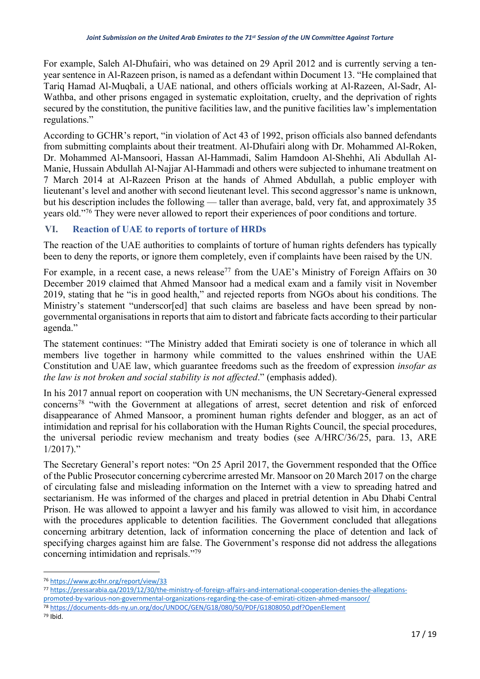For example, Saleh Al-Dhufairi, who was detained on 29 April 2012 and is currently serving a tenyear sentence in Al-Razeen prison, is named as a defendant within Document 13. "He complained that Tariq Hamad Al-Muqbali, a UAE national, and others officials working at Al-Razeen, Al-Sadr, Al-Wathba, and other prisons engaged in systematic exploitation, cruelty, and the deprivation of rights secured by the constitution, the punitive facilities law, and the punitive facilities law's implementation regulations."

According to GCHR's report, "in violation of Act 43 of 1992, prison officials also banned defendants from submitting complaints about their treatment. Al-Dhufairi along with Dr. Mohammed Al-Roken, Dr. Mohammed Al-Mansoori, Hassan Al-Hammadi, Salim Hamdoon Al-Shehhi, Ali Abdullah Al-Manie, Hussain Abdullah Al-Najjar Al-Hammadi and others were subjected to inhumane treatment on 7 March 2014 at Al-Razeen Prison at the hands of Ahmed Abdullah, a public employer with lieutenant's level and another with second lieutenant level. This second aggressor's name is unknown, but his description includes the following — taller than average, bald, very fat, and approximately 35 years old."76 They were never allowed to report their experiences of poor conditions and torture.

### **VI. Reaction of UAE to reports of torture of HRDs**

The reaction of the UAE authorities to complaints of torture of human rights defenders has typically been to deny the reports, or ignore them completely, even if complaints have been raised by the UN.

For example, in a recent case, a news release<sup>77</sup> from the UAE's Ministry of Foreign Affairs on 30 December 2019 claimed that Ahmed Mansoor had a medical exam and a family visit in November 2019, stating that he "is in good health," and rejected reports from NGOs about his conditions. The Ministry's statement "underscor[ed] that such claims are baseless and have been spread by nongovernmental organisations in reports that aim to distort and fabricate facts according to their particular agenda."

The statement continues: "The Ministry added that Emirati society is one of tolerance in which all members live together in harmony while committed to the values enshrined within the UAE Constitution and UAE law, which guarantee freedoms such as the freedom of expression *insofar as the law is not broken and social stability is not affected*." (emphasis added).

In his 2017 annual report on cooperation with UN mechanisms, the UN Secretary-General expressed concerns78 "with the Government at allegations of arrest, secret detention and risk of enforced disappearance of Ahmed Mansoor, a prominent human rights defender and blogger, as an act of intimidation and reprisal for his collaboration with the Human Rights Council, the special procedures, the universal periodic review mechanism and treaty bodies (see A/HRC/36/25, para. 13, ARE  $1/2017$ ."

The Secretary General's report notes: "On 25 April 2017, the Government responded that the Office of the Public Prosecutor concerning cybercrime arrested Mr. Mansoor on 20 March 2017 on the charge of circulating false and misleading information on the Internet with a view to spreading hatred and sectarianism. He was informed of the charges and placed in pretrial detention in Abu Dhabi Central Prison. He was allowed to appoint a lawyer and his family was allowed to visit him, in accordance with the procedures applicable to detention facilities. The Government concluded that allegations concerning arbitrary detention, lack of information concerning the place of detention and lack of specifying charges against him are false. The Government's response did not address the allegations concerning intimidation and reprisals."79

<sup>79</sup> Ibid.

<sup>76</sup> https://www.gc4hr.org/report/view/33

<sup>77</sup> https://pressarabia.qa/2019/12/30/the-ministry-of-foreign-affairs-and-international-cooperation-denies-the-allegationspromoted-by-various-non-governmental-organizations-regarding-the-case-of-emirati-citizen-ahmed-mansoor/

<sup>78</sup> https://documents-dds-ny.un.org/doc/UNDOC/GEN/G18/080/50/PDF/G1808050.pdf?OpenElement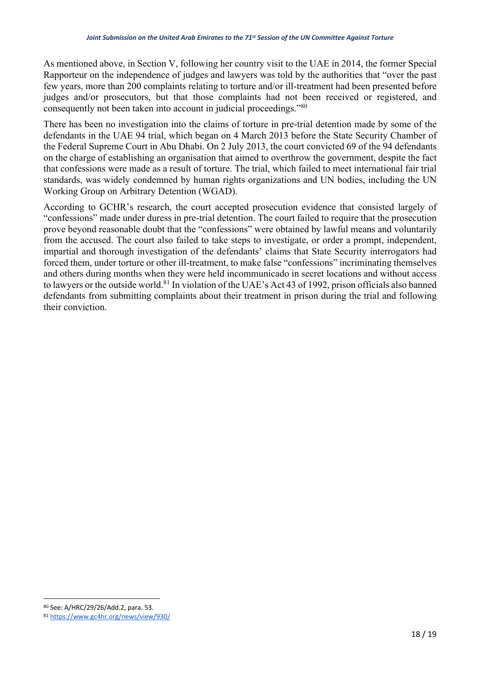As mentioned above, in Section V, following her country visit to the UAE in 2014, the former Special Rapporteur on the independence of judges and lawyers was told by the authorities that "over the past few years, more than 200 complaints relating to torture and/or ill-treatment had been presented before judges and/or prosecutors, but that those complaints had not been received or registered, and consequently not been taken into account in judicial proceedings."80

There has been no investigation into the claims of torture in pre-trial detention made by some of the defendants in the UAE 94 trial, which began on 4 March 2013 before the State Security Chamber of the Federal Supreme Court in Abu Dhabi. On 2 July 2013, the court convicted 69 of the 94 defendants on the charge of establishing an organisation that aimed to overthrow the government, despite the fact that confessions were made as a result of torture. The trial, which failed to meet international fair trial standards, was widely condemned by human rights organizations and UN bodies, including the UN Working Group on Arbitrary Detention (WGAD).

According to GCHR's research, the court accepted prosecution evidence that consisted largely of "confessions" made under duress in pre-trial detention. The court failed to require that the prosecution prove beyond reasonable doubt that the "confessions" were obtained by lawful means and voluntarily from the accused. The court also failed to take steps to investigate, or order a prompt, independent, impartial and thorough investigation of the defendants' claims that State Security interrogators had forced them, under torture or other ill-treatment, to make false "confessions" incriminating themselves and others during months when they were held incommunicado in secret locations and without access to lawyers or the outside world.81 In violation of the UAE's Act 43 of 1992, prison officials also banned defendants from submitting complaints about their treatment in prison during the trial and following their conviction.

<sup>80</sup> See: A/HRC/29/26/Add.2, para. 53.

<sup>81</sup> https://www.gc4hr.org/news/view/930/